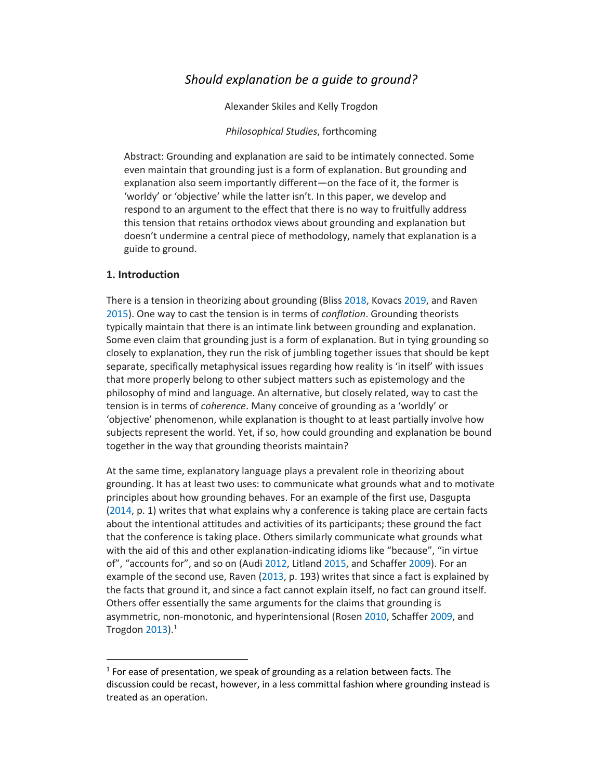# *Should explanation be a guide to ground?*

Alexander Skiles and Kelly Trogdon

### *Philosophical Studies*, forthcoming

Abstract: Grounding and explanation are said to be intimately connected. Some even maintain that grounding just is a form of explanation. But grounding and explanation also seem importantly different—on the face of it, the former is 'worldy' or 'objective' while the latter isn't. In this paper, we develop and respond to an argument to the effect that there is no way to fruitfully address this tension that retains orthodox views about grounding and explanation but doesn't undermine a central piece of methodology, namely that explanation is a guide to ground.

# **1. Introduction**

There is a tension in theorizing about grounding (Bliss 2018, Kovacs 2019, and Raven 2015). One way to cast the tension is in terms of *conflation*. Grounding theorists typically maintain that there is an intimate link between grounding and explanation. Some even claim that grounding just is a form of explanation. But in tying grounding so closely to explanation, they run the risk of jumbling together issues that should be kept separate, specifically metaphysical issues regarding how reality is 'in itself' with issues that more properly belong to other subject matters such as epistemology and the philosophy of mind and language. An alternative, but closely related, way to cast the tension is in terms of *coherence*. Many conceive of grounding as a 'worldly' or 'objective' phenomenon, while explanation is thought to at least partially involve how subjects represent the world. Yet, if so, how could grounding and explanation be bound together in the way that grounding theorists maintain?

At the same time, explanatory language plays a prevalent role in theorizing about grounding. It has at least two uses: to communicate what grounds what and to motivate principles about how grounding behaves. For an example of the first use, Dasgupta (2014, p. 1) writes that what explains why a conference is taking place are certain facts about the intentional attitudes and activities of its participants; these ground the fact that the conference is taking place. Others similarly communicate what grounds what with the aid of this and other explanation-indicating idioms like "because", "in virtue of", "accounts for", and so on (Audi 2012, Litland 2015, and Schaffer 2009). For an example of the second use, Raven (2013, p. 193) writes that since a fact is explained by the facts that ground it, and since a fact cannot explain itself, no fact can ground itself. Others offer essentially the same arguments for the claims that grounding is asymmetric, non-monotonic, and hyperintensional (Rosen 2010, Schaffer 2009, and Trogdon 2013). $^1$ 

 $1$  For ease of presentation, we speak of grounding as a relation between facts. The discussion could be recast, however, in a less committal fashion where grounding instead is treated as an operation.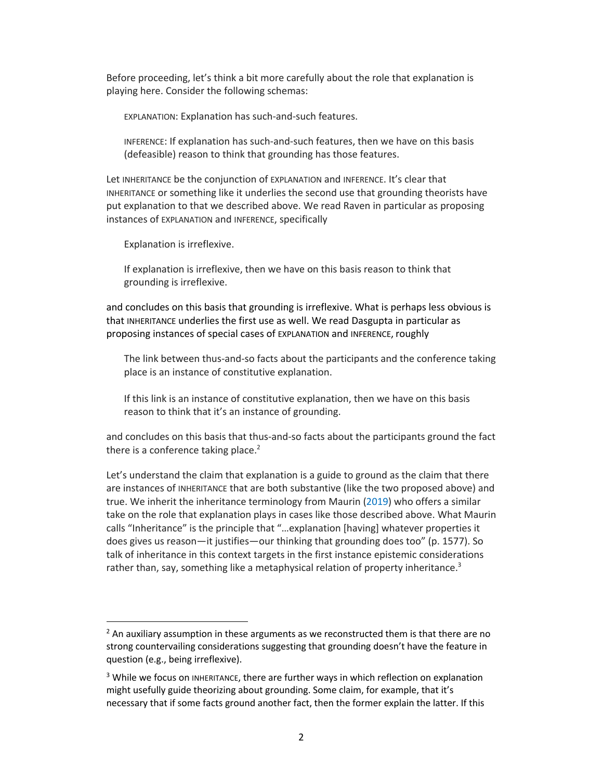Before proceeding, let's think a bit more carefully about the role that explanation is playing here. Consider the following schemas:

EXPLANATION: Explanation has such-and-such features.

INFERENCE: If explanation has such-and-such features, then we have on this basis (defeasible) reason to think that grounding has those features.

Let INHERITANCE be the conjunction of EXPLANATION and INFERENCE. It's clear that INHERITANCE or something like it underlies the second use that grounding theorists have put explanation to that we described above. We read Raven in particular as proposing instances of EXPLANATION and INFERENCE, specifically

Explanation is irreflexive.

If explanation is irreflexive, then we have on this basis reason to think that grounding is irreflexive.

and concludes on this basis that grounding is irreflexive. What is perhaps less obvious is that INHERITANCE underlies the first use as well. We read Dasgupta in particular as proposing instances of special cases of EXPLANATION and INFERENCE, roughly

The link between thus-and-so facts about the participants and the conference taking place is an instance of constitutive explanation.

If this link is an instance of constitutive explanation, then we have on this basis reason to think that it's an instance of grounding.

and concludes on this basis that thus-and-so facts about the participants ground the fact there is a conference taking place. $2$ 

Let's understand the claim that explanation is a guide to ground as the claim that there are instances of INHERITANCE that are both substantive (like the two proposed above) and true. We inherit the inheritance terminology from Maurin (2019) who offers a similar take on the role that explanation plays in cases like those described above. What Maurin calls "Inheritance" is the principle that "…explanation [having] whatever properties it does gives us reason—it justifies—our thinking that grounding does too" (p. 1577). So talk of inheritance in this context targets in the first instance epistemic considerations rather than, say, something like a metaphysical relation of property inheritance.<sup>3</sup>

 $<sup>2</sup>$  An auxiliary assumption in these arguments as we reconstructed them is that there are no</sup> strong countervailing considerations suggesting that grounding doesn't have the feature in question (e.g., being irreflexive).

<sup>&</sup>lt;sup>3</sup> While we focus on INHERITANCE, there are further ways in which reflection on explanation might usefully guide theorizing about grounding. Some claim, for example, that it's necessary that if some facts ground another fact, then the former explain the latter. If this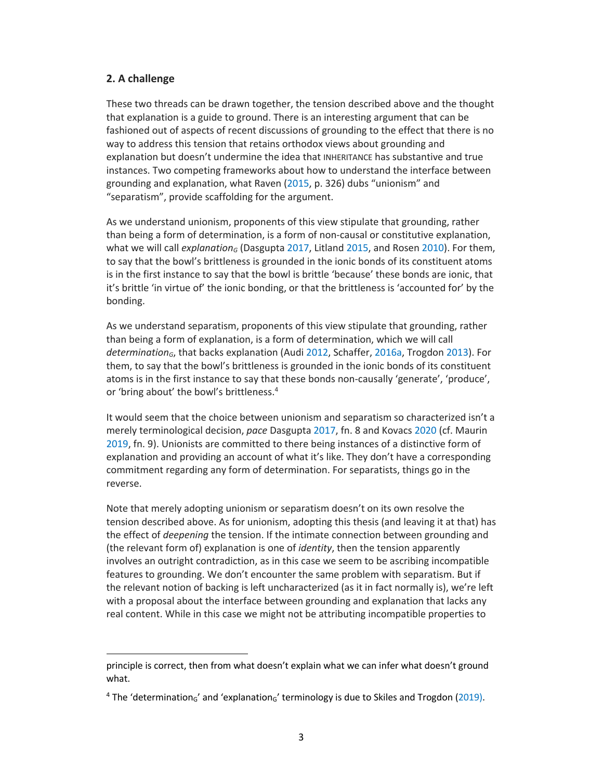# **2. A challenge**

These two threads can be drawn together, the tension described above and the thought that explanation is a guide to ground. There is an interesting argument that can be fashioned out of aspects of recent discussions of grounding to the effect that there is no way to address this tension that retains orthodox views about grounding and explanation but doesn't undermine the idea that INHERITANCE has substantive and true instances. Two competing frameworks about how to understand the interface between grounding and explanation, what Raven (2015, p. 326) dubs "unionism" and "separatism", provide scaffolding for the argument.

As we understand unionism, proponents of this view stipulate that grounding, rather than being a form of determination, is a form of non-causal or constitutive explanation, what we will call *explanation<sub>G</sub>* (Dasgupta 2017, Litland 2015, and Rosen 2010). For them, to say that the bowl's brittleness is grounded in the ionic bonds of its constituent atoms is in the first instance to say that the bowl is brittle 'because' these bonds are ionic, that it's brittle 'in virtue of' the ionic bonding, or that the brittleness is 'accounted for' by the bonding.

As we understand separatism, proponents of this view stipulate that grounding, rather than being a form of explanation, is a form of determination, which we will call *determinationG*, that backs explanation (Audi 2012, Schaffer, 2016a, Trogdon 2013). For them, to say that the bowl's brittleness is grounded in the ionic bonds of its constituent atoms is in the first instance to say that these bonds non-causally 'generate', 'produce', or 'bring about' the bowl's brittleness. 4

It would seem that the choice between unionism and separatism so characterized isn't a merely terminological decision, *pace* Dasgupta 2017, fn. 8 and Kovacs 2020 (cf. Maurin 2019, fn. 9). Unionists are committed to there being instances of a distinctive form of explanation and providing an account of what it's like. They don't have a corresponding commitment regarding any form of determination. For separatists, things go in the reverse.

Note that merely adopting unionism or separatism doesn't on its own resolve the tension described above. As for unionism, adopting this thesis (and leaving it at that) has the effect of *deepening* the tension. If the intimate connection between grounding and (the relevant form of) explanation is one of *identity*, then the tension apparently involves an outright contradiction, as in this case we seem to be ascribing incompatible features to grounding. We don't encounter the same problem with separatism. But if the relevant notion of backing is left uncharacterized (as it in fact normally is), we're left with a proposal about the interface between grounding and explanation that lacks any real content. While in this case we might not be attributing incompatible properties to

principle is correct, then from what doesn't explain what we can infer what doesn't ground what.

<sup>&</sup>lt;sup>4</sup> The 'determination<sub>G</sub>' and 'explanation<sub>G</sub>' terminology is due to Skiles and Trogdon (2019).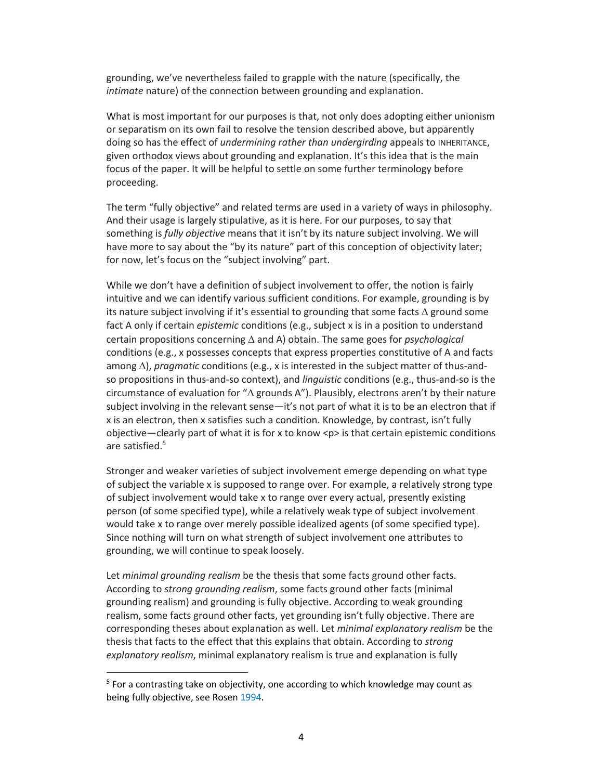grounding, we've nevertheless failed to grapple with the nature (specifically, the *intimate* nature) of the connection between grounding and explanation.

What is most important for our purposes is that, not only does adopting either unionism or separatism on its own fail to resolve the tension described above, but apparently doing so has the effect of *undermining rather than undergirding* appeals to INHERITANCE, given orthodox views about grounding and explanation. It's this idea that is the main focus of the paper. It will be helpful to settle on some further terminology before proceeding.

The term "fully objective" and related terms are used in a variety of ways in philosophy. And their usage is largely stipulative, as it is here. For our purposes, to say that something is *fully objective* means that it isn't by its nature subject involving. We will have more to say about the "by its nature" part of this conception of objectivity later; for now, let's focus on the "subject involving" part.

While we don't have a definition of subject involvement to offer, the notion is fairly intuitive and we can identify various sufficient conditions. For example, grounding is by its nature subject involving if it's essential to grounding that some facts  $\Delta$  ground some fact A only if certain *epistemic* conditions (e.g., subject x is in a position to understand certain propositions concerning  $\Delta$  and A) obtain. The same goes for *psychological* conditions (e.g., x possesses concepts that express properties constitutive of A and facts among  $\Delta$ ), *pragmatic* conditions (e.g., x is interested in the subject matter of thus-andso propositions in thus-and-so context), and *linguistic* conditions (e.g., thus-and-so is the circumstance of evaluation for " $\Delta$  grounds A"). Plausibly, electrons aren't by their nature subject involving in the relevant sense-it's not part of what it is to be an electron that if x is an electron, then x satisfies such a condition. Knowledge, by contrast, isn't fully objective—clearly part of what it is for x to know <p> is that certain epistemic conditions are satisfied.<sup>5</sup>

Stronger and weaker varieties of subject involvement emerge depending on what type of subject the variable x is supposed to range over. For example, a relatively strong type of subject involvement would take x to range over every actual, presently existing person (of some specified type), while a relatively weak type of subject involvement would take x to range over merely possible idealized agents (of some specified type). Since nothing will turn on what strength of subject involvement one attributes to grounding, we will continue to speak loosely.

Let *minimal grounding realism* be the thesis that some facts ground other facts. According to *strong grounding realism*, some facts ground other facts (minimal grounding realism) and grounding is fully objective. According to weak grounding realism, some facts ground other facts, yet grounding isn't fully objective. There are corresponding theses about explanation as well. Let *minimal explanatory realism* be the thesis that facts to the effect that this explains that obtain. According to *strong explanatory realism*, minimal explanatory realism is true and explanation is fully

 $5$  For a contrasting take on objectivity, one according to which knowledge may count as being fully objective, see Rosen 1994.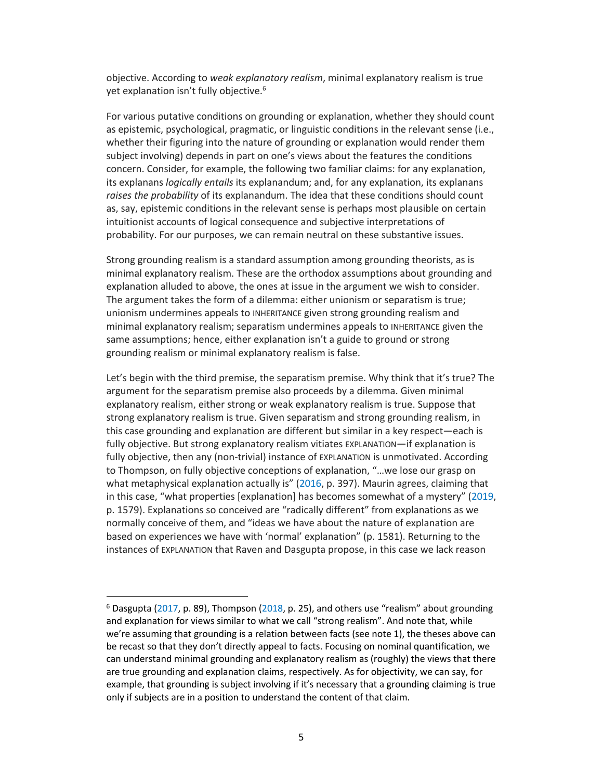objective. According to *weak explanatory realism*, minimal explanatory realism is true yet explanation isn't fully objective. 6

For various putative conditions on grounding or explanation, whether they should count as epistemic, psychological, pragmatic, or linguistic conditions in the relevant sense (i.e., whether their figuring into the nature of grounding or explanation would render them subject involving) depends in part on one's views about the features the conditions concern. Consider, for example, the following two familiar claims: for any explanation, its explanans *logically entails* its explanandum; and, for any explanation, its explanans *raises the probability* of its explanandum. The idea that these conditions should count as, say, epistemic conditions in the relevant sense is perhaps most plausible on certain intuitionist accounts of logical consequence and subjective interpretations of probability. For our purposes, we can remain neutral on these substantive issues.

Strong grounding realism is a standard assumption among grounding theorists, as is minimal explanatory realism. These are the orthodox assumptions about grounding and explanation alluded to above, the ones at issue in the argument we wish to consider. The argument takes the form of a dilemma: either unionism or separatism is true; unionism undermines appeals to INHERITANCE given strong grounding realism and minimal explanatory realism; separatism undermines appeals to INHERITANCE given the same assumptions; hence, either explanation isn't a guide to ground or strong grounding realism or minimal explanatory realism is false.

Let's begin with the third premise, the separatism premise. Why think that it's true? The argument for the separatism premise also proceeds by a dilemma. Given minimal explanatory realism, either strong or weak explanatory realism is true. Suppose that strong explanatory realism is true. Given separatism and strong grounding realism, in this case grounding and explanation are different but similar in a key respect—each is fully objective. But strong explanatory realism vitiates EXPLANATION—if explanation is fully objective, then any (non-trivial) instance of EXPLANATION is unmotivated. According to Thompson, on fully objective conceptions of explanation, "…we lose our grasp on what metaphysical explanation actually is" (2016, p. 397). Maurin agrees, claiming that in this case, "what properties [explanation] has becomes somewhat of a mystery" (2019, p. 1579). Explanations so conceived are "radically different" from explanations as we normally conceive of them, and "ideas we have about the nature of explanation are based on experiences we have with 'normal' explanation" (p. 1581). Returning to the instances of EXPLANATION that Raven and Dasgupta propose, in this case we lack reason

 $6$  Dasgupta (2017, p. 89), Thompson (2018, p. 25), and others use "realism" about grounding and explanation for views similar to what we call "strong realism". And note that, while we're assuming that grounding is a relation between facts (see note 1), the theses above can be recast so that they don't directly appeal to facts. Focusing on nominal quantification, we can understand minimal grounding and explanatory realism as (roughly) the views that there are true grounding and explanation claims, respectively. As for objectivity, we can say, for example, that grounding is subject involving if it's necessary that a grounding claiming is true only if subjects are in a position to understand the content of that claim.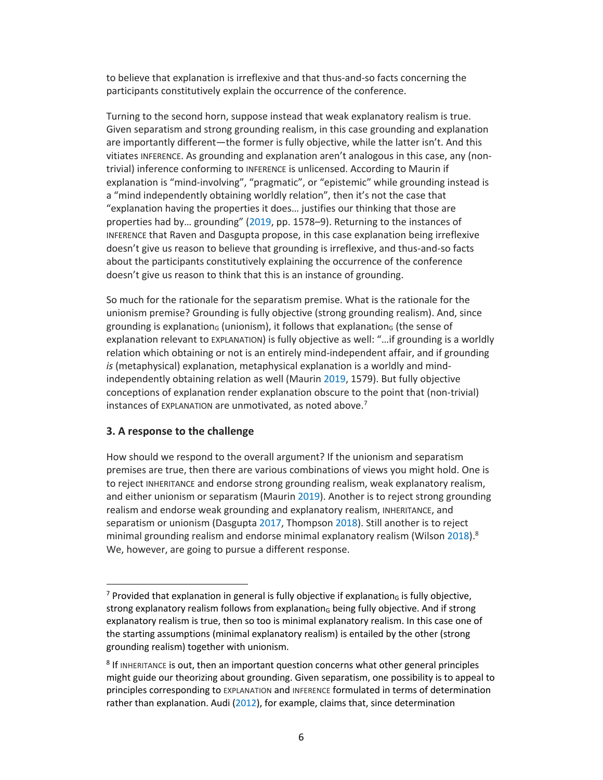to believe that explanation is irreflexive and that thus-and-so facts concerning the participants constitutively explain the occurrence of the conference.

Turning to the second horn, suppose instead that weak explanatory realism is true. Given separatism and strong grounding realism, in this case grounding and explanation are importantly different—the former is fully objective, while the latter isn't. And this vitiates INFERENCE. As grounding and explanation aren't analogous in this case, any (nontrivial) inference conforming to INFERENCE is unlicensed. According to Maurin if explanation is "mind-involving", "pragmatic", or "epistemic" while grounding instead is a "mind independently obtaining worldly relation", then it's not the case that "explanation having the properties it does… justifies our thinking that those are properties had by… grounding" (2019, pp. 1578–9). Returning to the instances of INFERENCE that Raven and Dasgupta propose, in this case explanation being irreflexive doesn't give us reason to believe that grounding is irreflexive, and thus-and-so facts about the participants constitutively explaining the occurrence of the conference doesn't give us reason to think that this is an instance of grounding.

So much for the rationale for the separatism premise. What is the rationale for the unionism premise? Grounding is fully objective (strong grounding realism). And, since grounding is explanation<sub>G</sub> (unionism), it follows that explanation<sub>G</sub> (the sense of explanation relevant to EXPLANATION) is fully objective as well: "…if grounding is a worldly relation which obtaining or not is an entirely mind-independent affair, and if grounding *is* (metaphysical) explanation, metaphysical explanation is a worldly and mindindependently obtaining relation as well (Maurin 2019, 1579). But fully objective conceptions of explanation render explanation obscure to the point that (non-trivial) instances of EXPLANATION are unmotivated, as noted above. 7

# **3. A response to the challenge**

How should we respond to the overall argument? If the unionism and separatism premises are true, then there are various combinations of views you might hold. One is to reject INHERITANCE and endorse strong grounding realism, weak explanatory realism, and either unionism or separatism (Maurin 2019). Another is to reject strong grounding realism and endorse weak grounding and explanatory realism, INHERITANCE, and separatism or unionism (Dasgupta 2017, Thompson 2018). Still another is to reject minimal grounding realism and endorse minimal explanatory realism (Wilson 2018). $8$ We, however, are going to pursue a different response.

<sup>&</sup>lt;sup>7</sup> Provided that explanation in general is fully objective if explanation<sub>G</sub> is fully objective, strong explanatory realism follows from explanation $<sub>6</sub>$  being fully objective. And if strong</sub> explanatory realism is true, then so too is minimal explanatory realism. In this case one of the starting assumptions (minimal explanatory realism) is entailed by the other (strong grounding realism) together with unionism.

<sup>&</sup>lt;sup>8</sup> If INHERITANCE is out, then an important question concerns what other general principles might guide our theorizing about grounding. Given separatism, one possibility is to appeal to principles corresponding to EXPLANATION and INFERENCE formulated in terms of determination rather than explanation. Audi (2012), for example, claims that, since determination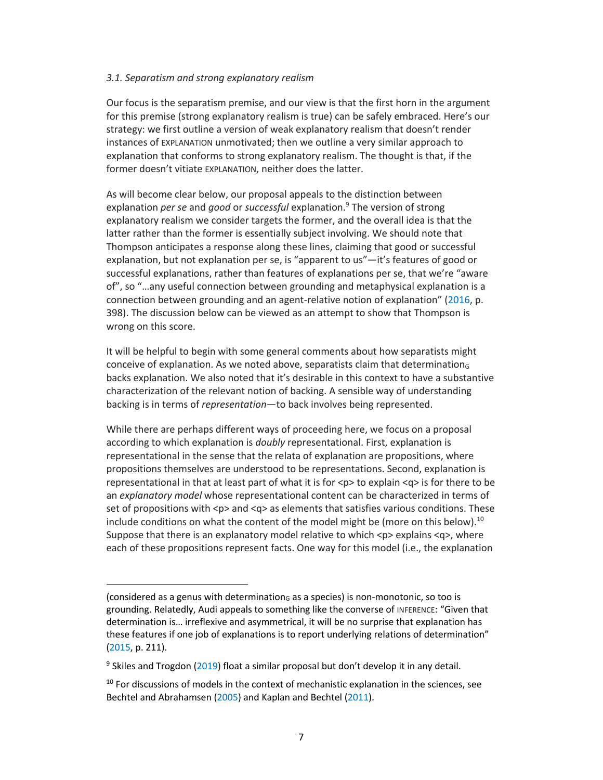#### *3.1. Separatism and strong explanatory realism*

Our focus is the separatism premise, and our view is that the first horn in the argument for this premise (strong explanatory realism is true) can be safely embraced. Here's our strategy: we first outline a version of weak explanatory realism that doesn't render instances of EXPLANATION unmotivated; then we outline a very similar approach to explanation that conforms to strong explanatory realism. The thought is that, if the former doesn't vitiate EXPLANATION, neither does the latter.

As will become clear below, our proposal appeals to the distinction between explanation *per se* and *good* or *successful* explanation.9 The version of strong explanatory realism we consider targets the former, and the overall idea is that the latter rather than the former is essentially subject involving. We should note that Thompson anticipates a response along these lines, claiming that good or successful explanation, but not explanation per se, is "apparent to us"—it's features of good or successful explanations, rather than features of explanations per se, that we're "aware of", so "…any useful connection between grounding and metaphysical explanation is a connection between grounding and an agent-relative notion of explanation" (2016, p. 398). The discussion below can be viewed as an attempt to show that Thompson is wrong on this score.

It will be helpful to begin with some general comments about how separatists might conceive of explanation. As we noted above, separatists claim that determination $<sub>G</sub>$ </sub> backs explanation. We also noted that it's desirable in this context to have a substantive characterization of the relevant notion of backing. A sensible way of understanding backing is in terms of *representation*—to back involves being represented.

While there are perhaps different ways of proceeding here, we focus on a proposal according to which explanation is *doubly* representational. First, explanation is representational in the sense that the relata of explanation are propositions, where propositions themselves are understood to be representations. Second, explanation is representational in that at least part of what it is for  $<$ p> to explain  $<$ q> is for there to be an *explanatory model* whose representational content can be characterized in terms of set of propositions with <p> and <q> as elements that satisfies various conditions. These include conditions on what the content of the model might be (more on this below).<sup>10</sup> Suppose that there is an explanatory model relative to which  $\langle p \rangle$  explains  $\langle q \rangle$ , where each of these propositions represent facts. One way for this model (i.e., the explanation

<sup>(</sup>considered as a genus with determination $<sub>G</sub>$  as a species) is non-monotonic, so too is</sub> grounding. Relatedly, Audi appeals to something like the converse of INFERENCE: "Given that determination is… irreflexive and asymmetrical, it will be no surprise that explanation has these features if one job of explanations is to report underlying relations of determination" (2015, p. 211).

 $9$  Skiles and Trogdon (2019) float a similar proposal but don't develop it in any detail.

 $10$  For discussions of models in the context of mechanistic explanation in the sciences, see Bechtel and Abrahamsen (2005) and Kaplan and Bechtel (2011).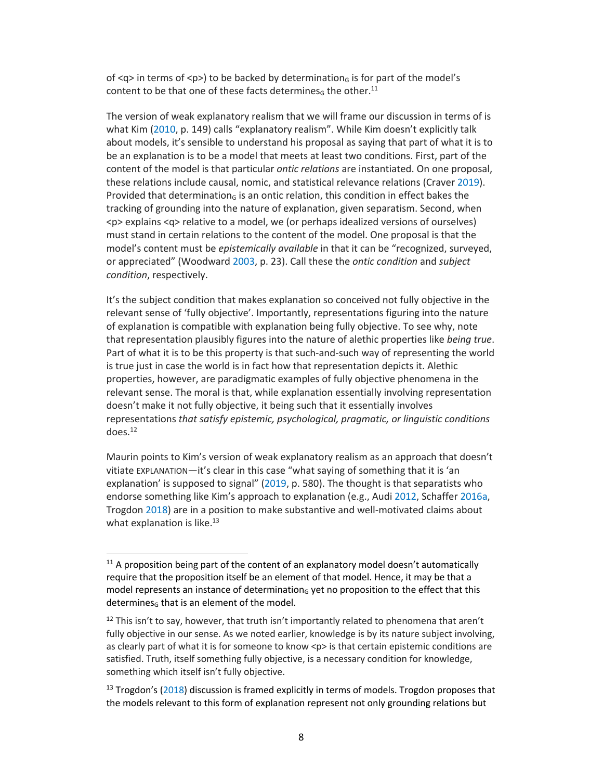of  $\langle q \rangle$  in terms of  $\langle p \rangle$  to be backed by determination<sub>G</sub> is for part of the model's content to be that one of these facts determines<sub>6</sub> the other.<sup>11</sup>

The version of weak explanatory realism that we will frame our discussion in terms of is what Kim (2010, p. 149) calls "explanatory realism". While Kim doesn't explicitly talk about models, it's sensible to understand his proposal as saying that part of what it is to be an explanation is to be a model that meets at least two conditions. First, part of the content of the model is that particular *ontic relations* are instantiated. On one proposal, these relations include causal, nomic, and statistical relevance relations (Craver 2019). Provided that determinationG is an ontic relation, this condition in effect bakes the tracking of grounding into the nature of explanation, given separatism. Second, when <p> explains <q> relative to a model, we (or perhaps idealized versions of ourselves) must stand in certain relations to the content of the model. One proposal is that the model's content must be *epistemically available* in that it can be "recognized, surveyed, or appreciated" (Woodward 2003, p. 23). Call these the *ontic condition* and *subject condition*, respectively.

It's the subject condition that makes explanation so conceived not fully objective in the relevant sense of 'fully objective'. Importantly, representations figuring into the nature of explanation is compatible with explanation being fully objective. To see why, note that representation plausibly figures into the nature of alethic properties like *being true*. Part of what it is to be this property is that such-and-such way of representing the world is true just in case the world is in fact how that representation depicts it. Alethic properties, however, are paradigmatic examples of fully objective phenomena in the relevant sense. The moral is that, while explanation essentially involving representation doesn't make it not fully objective, it being such that it essentially involves representations *that satisfy epistemic, psychological, pragmatic, or linguistic conditions*  $does.<sup>12</sup>$ 

Maurin points to Kim's version of weak explanatory realism as an approach that doesn't vitiate EXPLANATION—it's clear in this case "what saying of something that it is 'an explanation' is supposed to signal" (2019, p. 580). The thought is that separatists who endorse something like Kim's approach to explanation (e.g., Audi 2012, Schaffer 2016a, Trogdon 2018) are in a position to make substantive and well-motivated claims about what explanation is like. $13$ 

 $11$  A proposition being part of the content of an explanatory model doesn't automatically require that the proposition itself be an element of that model. Hence, it may be that a model represents an instance of determination $<sub>G</sub>$  yet no proposition to the effect that this</sub> determines $<sub>6</sub>$  that is an element of the model.</sub>

 $12$  This isn't to say, however, that truth isn't importantly related to phenomena that aren't fully objective in our sense. As we noted earlier, knowledge is by its nature subject involving, as clearly part of what it is for someone to know <p> is that certain epistemic conditions are satisfied. Truth, itself something fully objective, is a necessary condition for knowledge, something which itself isn't fully objective.

 $13$  Trogdon's (2018) discussion is framed explicitly in terms of models. Trogdon proposes that the models relevant to this form of explanation represent not only grounding relations but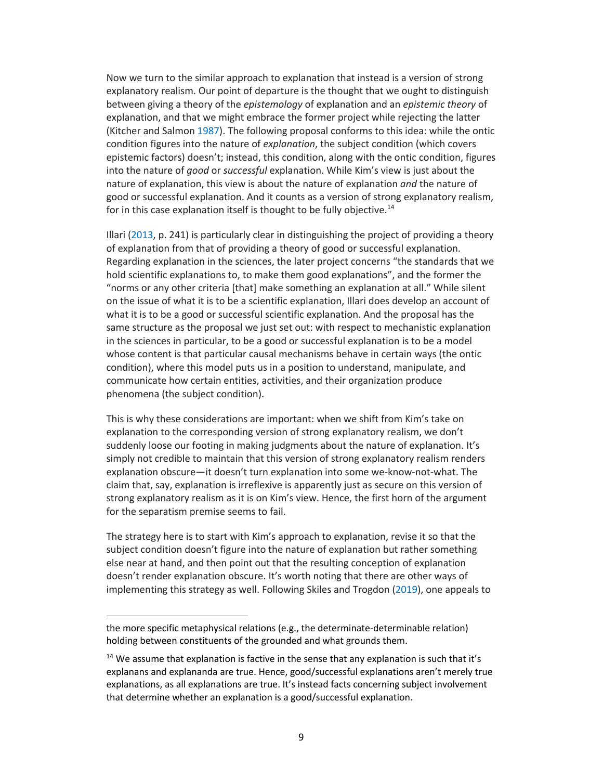Now we turn to the similar approach to explanation that instead is a version of strong explanatory realism. Our point of departure is the thought that we ought to distinguish between giving a theory of the *epistemology* of explanation and an *epistemic theory* of explanation, and that we might embrace the former project while rejecting the latter (Kitcher and Salmon 1987). The following proposal conforms to this idea: while the ontic condition figures into the nature of *explanation*, the subject condition (which covers epistemic factors) doesn't; instead, this condition, along with the ontic condition, figures into the nature of *good* or *successful* explanation. While Kim's view is just about the nature of explanation, this view is about the nature of explanation *and* the nature of good or successful explanation. And it counts as a version of strong explanatory realism, for in this case explanation itself is thought to be fully objective.<sup>14</sup>

Illari (2013, p. 241) is particularly clear in distinguishing the project of providing a theory of explanation from that of providing a theory of good or successful explanation. Regarding explanation in the sciences, the later project concerns "the standards that we hold scientific explanations to, to make them good explanations", and the former the "norms or any other criteria [that] make something an explanation at all." While silent on the issue of what it is to be a scientific explanation, Illari does develop an account of what it is to be a good or successful scientific explanation. And the proposal has the same structure as the proposal we just set out: with respect to mechanistic explanation in the sciences in particular, to be a good or successful explanation is to be a model whose content is that particular causal mechanisms behave in certain ways (the ontic condition), where this model puts us in a position to understand, manipulate, and communicate how certain entities, activities, and their organization produce phenomena (the subject condition).

This is why these considerations are important: when we shift from Kim's take on explanation to the corresponding version of strong explanatory realism, we don't suddenly loose our footing in making judgments about the nature of explanation. It's simply not credible to maintain that this version of strong explanatory realism renders explanation obscure—it doesn't turn explanation into some we-know-not-what. The claim that, say, explanation is irreflexive is apparently just as secure on this version of strong explanatory realism as it is on Kim's view. Hence, the first horn of the argument for the separatism premise seems to fail.

The strategy here is to start with Kim's approach to explanation, revise it so that the subject condition doesn't figure into the nature of explanation but rather something else near at hand, and then point out that the resulting conception of explanation doesn't render explanation obscure. It's worth noting that there are other ways of implementing this strategy as well. Following Skiles and Trogdon (2019), one appeals to

the more specific metaphysical relations (e.g., the determinate-determinable relation) holding between constituents of the grounded and what grounds them.

<sup>&</sup>lt;sup>14</sup> We assume that explanation is factive in the sense that any explanation is such that it's explanans and explananda are true. Hence, good/successful explanations aren't merely true explanations, as all explanations are true. It's instead facts concerning subject involvement that determine whether an explanation is a good/successful explanation.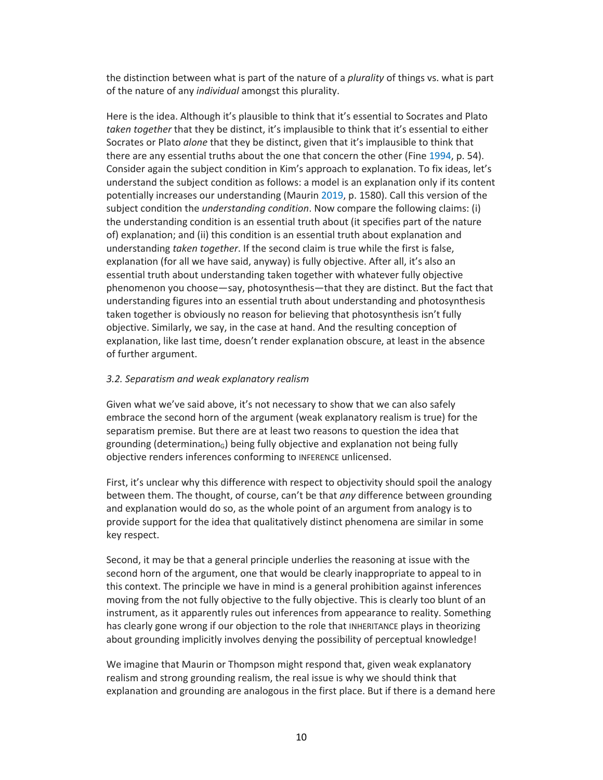the distinction between what is part of the nature of a *plurality* of things vs. what is part of the nature of any *individual* amongst this plurality.

Here is the idea. Although it's plausible to think that it's essential to Socrates and Plato *taken together* that they be distinct, it's implausible to think that it's essential to either Socrates or Plato *alone* that they be distinct, given that it's implausible to think that there are any essential truths about the one that concern the other (Fine 1994, p. 54). Consider again the subject condition in Kim's approach to explanation. To fix ideas, let's understand the subject condition as follows: a model is an explanation only if its content potentially increases our understanding (Maurin 2019, p. 1580). Call this version of the subject condition the *understanding condition*. Now compare the following claims: (i) the understanding condition is an essential truth about (it specifies part of the nature of) explanation; and (ii) this condition is an essential truth about explanation and understanding *taken together*. If the second claim is true while the first is false, explanation (for all we have said, anyway) is fully objective. After all, it's also an essential truth about understanding taken together with whatever fully objective phenomenon you choose—say, photosynthesis—that they are distinct. But the fact that understanding figures into an essential truth about understanding and photosynthesis taken together is obviously no reason for believing that photosynthesis isn't fully objective. Similarly, we say, in the case at hand. And the resulting conception of explanation, like last time, doesn't render explanation obscure, at least in the absence of further argument.

### *3.2. Separatism and weak explanatory realism*

Given what we've said above, it's not necessary to show that we can also safely embrace the second horn of the argument (weak explanatory realism is true) for the separatism premise. But there are at least two reasons to question the idea that grounding (determination $_G$ ) being fully objective and explanation not being fully objective renders inferences conforming to INFERENCE unlicensed.

First, it's unclear why this difference with respect to objectivity should spoil the analogy between them. The thought, of course, can't be that *any* difference between grounding and explanation would do so, as the whole point of an argument from analogy is to provide support for the idea that qualitatively distinct phenomena are similar in some key respect.

Second, it may be that a general principle underlies the reasoning at issue with the second horn of the argument, one that would be clearly inappropriate to appeal to in this context. The principle we have in mind is a general prohibition against inferences moving from the not fully objective to the fully objective. This is clearly too blunt of an instrument, as it apparently rules out inferences from appearance to reality. Something has clearly gone wrong if our objection to the role that INHERITANCE plays in theorizing about grounding implicitly involves denying the possibility of perceptual knowledge!

We imagine that Maurin or Thompson might respond that, given weak explanatory realism and strong grounding realism, the real issue is why we should think that explanation and grounding are analogous in the first place. But if there is a demand here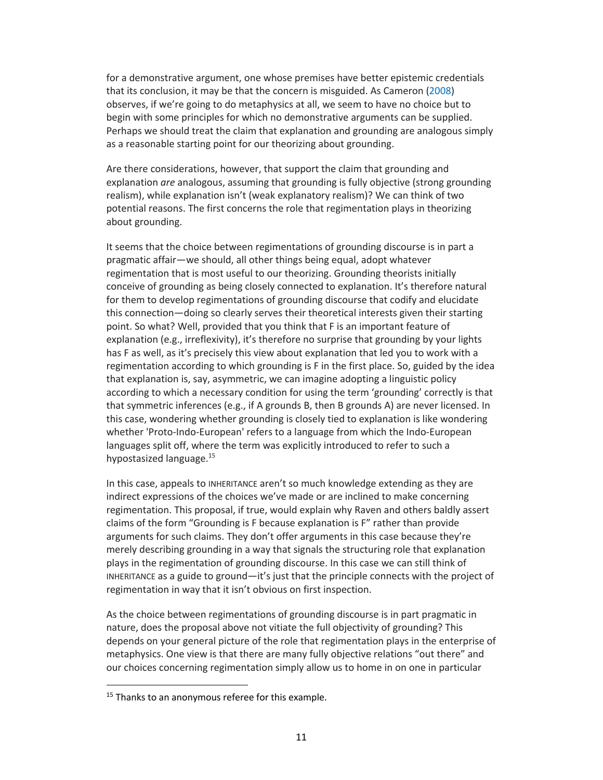for a demonstrative argument, one whose premises have better epistemic credentials that its conclusion, it may be that the concern is misguided. As Cameron (2008) observes, if we're going to do metaphysics at all, we seem to have no choice but to begin with some principles for which no demonstrative arguments can be supplied. Perhaps we should treat the claim that explanation and grounding are analogous simply as a reasonable starting point for our theorizing about grounding.

Are there considerations, however, that support the claim that grounding and explanation *are* analogous, assuming that grounding is fully objective (strong grounding realism), while explanation isn't (weak explanatory realism)? We can think of two potential reasons. The first concerns the role that regimentation plays in theorizing about grounding.

It seems that the choice between regimentations of grounding discourse is in part a pragmatic affair—we should, all other things being equal, adopt whatever regimentation that is most useful to our theorizing. Grounding theorists initially conceive of grounding as being closely connected to explanation. It's therefore natural for them to develop regimentations of grounding discourse that codify and elucidate this connection—doing so clearly serves their theoretical interests given their starting point. So what? Well, provided that you think that F is an important feature of explanation (e.g., irreflexivity), it's therefore no surprise that grounding by your lights has F as well, as it's precisely this view about explanation that led you to work with a regimentation according to which grounding is F in the first place. So, guided by the idea that explanation is, say, asymmetric, we can imagine adopting a linguistic policy according to which a necessary condition for using the term 'grounding' correctly is that that symmetric inferences (e.g., if A grounds B, then B grounds A) are never licensed. In this case, wondering whether grounding is closely tied to explanation is like wondering whether 'Proto-Indo-European' refers to a language from which the Indo-European languages split off, where the term was explicitly introduced to refer to such a hypostasized language.<sup>15</sup>

In this case, appeals to INHERITANCE aren't so much knowledge extending as they are indirect expressions of the choices we've made or are inclined to make concerning regimentation. This proposal, if true, would explain why Raven and others baldly assert claims of the form "Grounding is F because explanation is F" rather than provide arguments for such claims. They don't offer arguments in this case because they're merely describing grounding in a way that signals the structuring role that explanation plays in the regimentation of grounding discourse. In this case we can still think of INHERITANCE as a guide to ground—it's just that the principle connects with the project of regimentation in way that it isn't obvious on first inspection.

As the choice between regimentations of grounding discourse is in part pragmatic in nature, does the proposal above not vitiate the full objectivity of grounding? This depends on your general picture of the role that regimentation plays in the enterprise of metaphysics. One view is that there are many fully objective relations "out there" and our choices concerning regimentation simply allow us to home in on one in particular

<sup>&</sup>lt;sup>15</sup> Thanks to an anonymous referee for this example.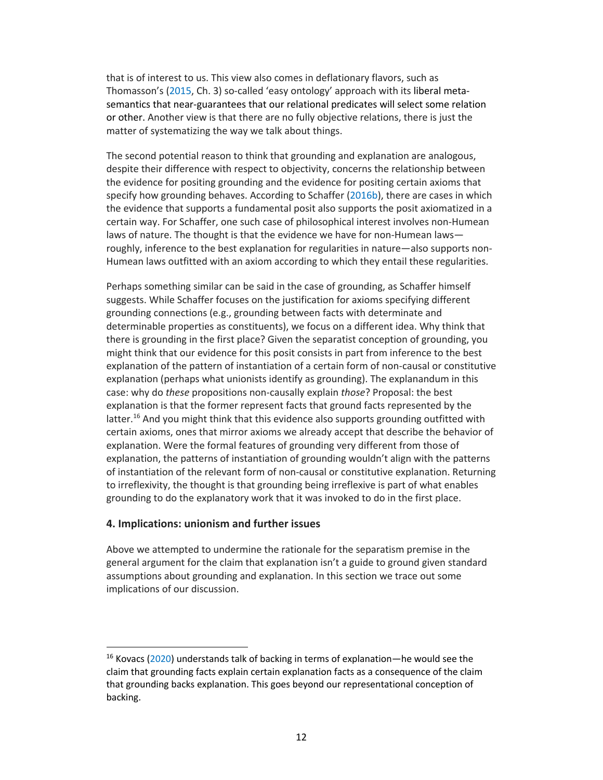that is of interest to us. This view also comes in deflationary flavors, such as Thomasson's (2015, Ch. 3) so-called 'easy ontology' approach with its liberal metasemantics that near-guarantees that our relational predicates will select some relation or other. Another view is that there are no fully objective relations, there is just the matter of systematizing the way we talk about things.

The second potential reason to think that grounding and explanation are analogous, despite their difference with respect to objectivity, concerns the relationship between the evidence for positing grounding and the evidence for positing certain axioms that specify how grounding behaves. According to Schaffer (2016b), there are cases in which the evidence that supports a fundamental posit also supports the posit axiomatized in a certain way. For Schaffer, one such case of philosophical interest involves non-Humean laws of nature. The thought is that the evidence we have for non-Humean laws roughly, inference to the best explanation for regularities in nature—also supports non-Humean laws outfitted with an axiom according to which they entail these regularities.

Perhaps something similar can be said in the case of grounding, as Schaffer himself suggests. While Schaffer focuses on the justification for axioms specifying different grounding connections (e.g., grounding between facts with determinate and determinable properties as constituents), we focus on a different idea. Why think that there is grounding in the first place? Given the separatist conception of grounding, you might think that our evidence for this posit consists in part from inference to the best explanation of the pattern of instantiation of a certain form of non-causal or constitutive explanation (perhaps what unionists identify as grounding). The explanandum in this case: why do *these* propositions non-causally explain *those*? Proposal: the best explanation is that the former represent facts that ground facts represented by the  $latter.<sup>16</sup>$  And you might think that this evidence also supports grounding outfitted with certain axioms, ones that mirror axioms we already accept that describe the behavior of explanation. Were the formal features of grounding very different from those of explanation, the patterns of instantiation of grounding wouldn't align with the patterns of instantiation of the relevant form of non-causal or constitutive explanation. Returning to irreflexivity, the thought is that grounding being irreflexive is part of what enables grounding to do the explanatory work that it was invoked to do in the first place.

### **4. Implications: unionism and further issues**

Above we attempted to undermine the rationale for the separatism premise in the general argument for the claim that explanation isn't a guide to ground given standard assumptions about grounding and explanation. In this section we trace out some implications of our discussion.

 $16$  Kovacs (2020) understands talk of backing in terms of explanation—he would see the claim that grounding facts explain certain explanation facts as a consequence of the claim that grounding backs explanation. This goes beyond our representational conception of backing.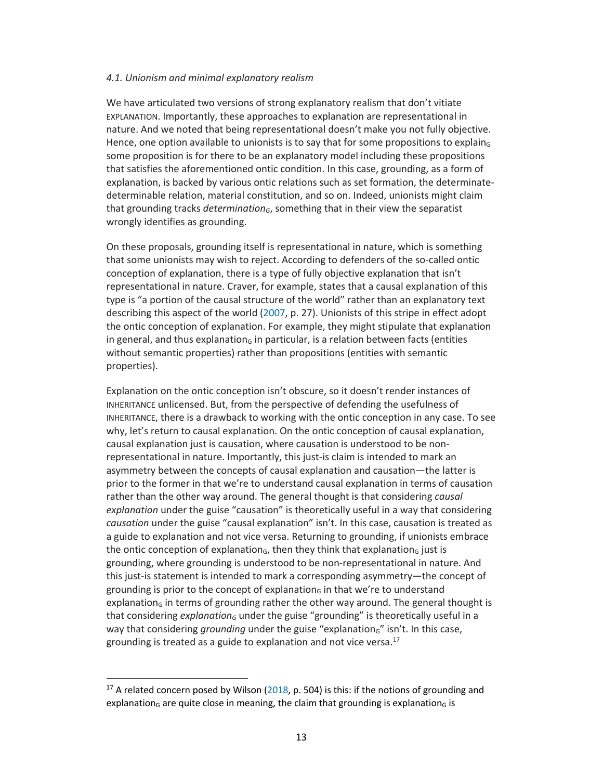#### *4.1. Unionism and minimal explanatory realism*

We have articulated two versions of strong explanatory realism that don't vitiate EXPLANATION. Importantly, these approaches to explanation are representational in nature. And we noted that being representational doesn't make you not fully objective. Hence, one option available to unionists is to say that for some propositions to explain $<sub>G</sub>$ </sub> some proposition is for there to be an explanatory model including these propositions that satisfies the aforementioned ontic condition. In this case, grounding, as a form of explanation, is backed by various ontic relations such as set formation, the determinatedeterminable relation, material constitution, and so on. Indeed, unionists might claim that grounding tracks *determination<sub>G</sub>*, something that in their view the separatist wrongly identifies as grounding.

On these proposals, grounding itself is representational in nature, which is something that some unionists may wish to reject. According to defenders of the so-called ontic conception of explanation, there is a type of fully objective explanation that isn't representational in nature. Craver, for example, states that a causal explanation of this type is "a portion of the causal structure of the world" rather than an explanatory text describing this aspect of the world (2007, p. 27). Unionists of this stripe in effect adopt the ontic conception of explanation. For example, they might stipulate that explanation in general, and thus explanation $<sub>G</sub>$  in particular, is a relation between facts (entities</sub> without semantic properties) rather than propositions (entities with semantic properties).

Explanation on the ontic conception isn't obscure, so it doesn't render instances of INHERITANCE unlicensed. But, from the perspective of defending the usefulness of INHERITANCE, there is a drawback to working with the ontic conception in any case. To see why, let's return to causal explanation. On the ontic conception of causal explanation, causal explanation just is causation, where causation is understood to be nonrepresentational in nature. Importantly, this just-is claim is intended to mark an asymmetry between the concepts of causal explanation and causation—the latter is prior to the former in that we're to understand causal explanation in terms of causation rather than the other way around. The general thought is that considering *causal explanation* under the guise "causation" is theoretically useful in a way that considering *causation* under the guise "causal explanation" isn't. In this case, causation is treated as a guide to explanation and not vice versa. Returning to grounding, if unionists embrace the ontic conception of explanation $<sub>G</sub>$ , then they think that explanation $<sub>G</sub>$  just is</sub></sub> grounding, where grounding is understood to be non-representational in nature. And this just-is statement is intended to mark a corresponding asymmetry—the concept of grounding is prior to the concept of explanation $<sub>G</sub>$  in that we're to understand</sub> explanation<sub>G</sub> in terms of grounding rather the other way around. The general thought is that considering *explanation<sub>G</sub>* under the guise "grounding" is theoretically useful in a way that considering *grounding* under the guise "explanation<sub>G</sub>" isn't. In this case, grounding is treated as a guide to explanation and not vice versa. $17$ 

<sup>&</sup>lt;sup>17</sup> A related concern posed by Wilson ( $2018$ , p. 504) is this: if the notions of grounding and explanation<sub>G</sub> are quite close in meaning, the claim that grounding is explanation<sub>G</sub> is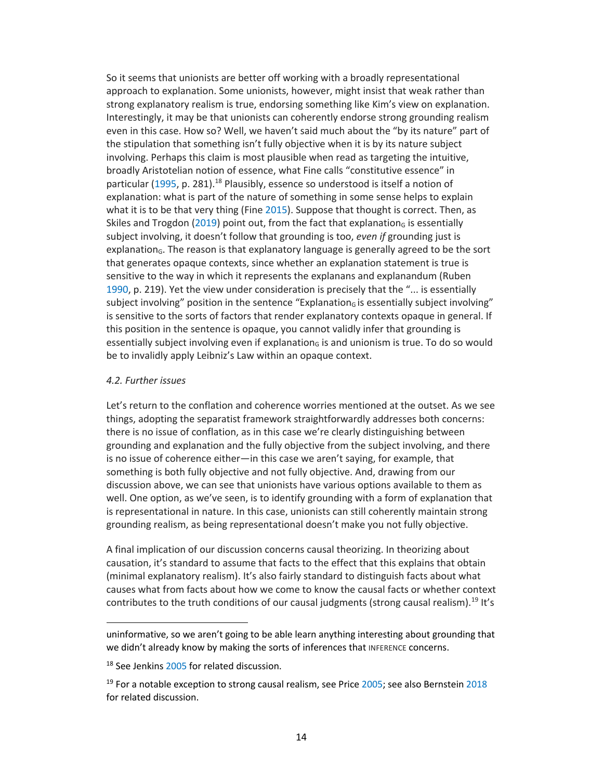So it seems that unionists are better off working with a broadly representational approach to explanation. Some unionists, however, might insist that weak rather than strong explanatory realism is true, endorsing something like Kim's view on explanation. Interestingly, it may be that unionists can coherently endorse strong grounding realism even in this case. How so? Well, we haven't said much about the "by its nature" part of the stipulation that something isn't fully objective when it is by its nature subject involving. Perhaps this claim is most plausible when read as targeting the intuitive, broadly Aristotelian notion of essence, what Fine calls "constitutive essence" in particular (1995, p. 281).<sup>18</sup> Plausibly, essence so understood is itself a notion of explanation: what is part of the nature of something in some sense helps to explain what it is to be that very thing (Fine 2015). Suppose that thought is correct. Then, as Skiles and Trogdon (2019) point out, from the fact that explanation<sub>g</sub> is essentially subject involving, it doesn't follow that grounding is too, *even if* grounding just is explanation<sub>G</sub>. The reason is that explanatory language is generally agreed to be the sort that generates opaque contexts, since whether an explanation statement is true is sensitive to the way in which it represents the explanans and explanandum (Ruben 1990, p. 219). Yet the view under consideration is precisely that the "... is essentially subject involving" position in the sentence "Explanation $<sub>6</sub>$  is essentially subject involving"</sub> is sensitive to the sorts of factors that render explanatory contexts opaque in general. If this position in the sentence is opaque, you cannot validly infer that grounding is essentially subject involving even if explanation $<sub>G</sub>$  is and unionism is true. To do so would</sub> be to invalidly apply Leibniz's Law within an opaque context.

#### *4.2. Further issues*

Let's return to the conflation and coherence worries mentioned at the outset. As we see things, adopting the separatist framework straightforwardly addresses both concerns: there is no issue of conflation, as in this case we're clearly distinguishing between grounding and explanation and the fully objective from the subject involving, and there is no issue of coherence either—in this case we aren't saying, for example, that something is both fully objective and not fully objective. And, drawing from our discussion above, we can see that unionists have various options available to them as well. One option, as we've seen, is to identify grounding with a form of explanation that is representational in nature. In this case, unionists can still coherently maintain strong grounding realism, as being representational doesn't make you not fully objective.

A final implication of our discussion concerns causal theorizing. In theorizing about causation, it's standard to assume that facts to the effect that this explains that obtain (minimal explanatory realism). It's also fairly standard to distinguish facts about what causes what from facts about how we come to know the causal facts or whether context contributes to the truth conditions of our causal judgments (strong causal realism).<sup>19</sup> It's

uninformative, so we aren't going to be able learn anything interesting about grounding that we didn't already know by making the sorts of inferences that INFERENCE concerns.

<sup>&</sup>lt;sup>18</sup> See Jenkins 2005 for related discussion.

 $19$  For a notable exception to strong causal realism, see Price 2005; see also Bernstein 2018 for related discussion.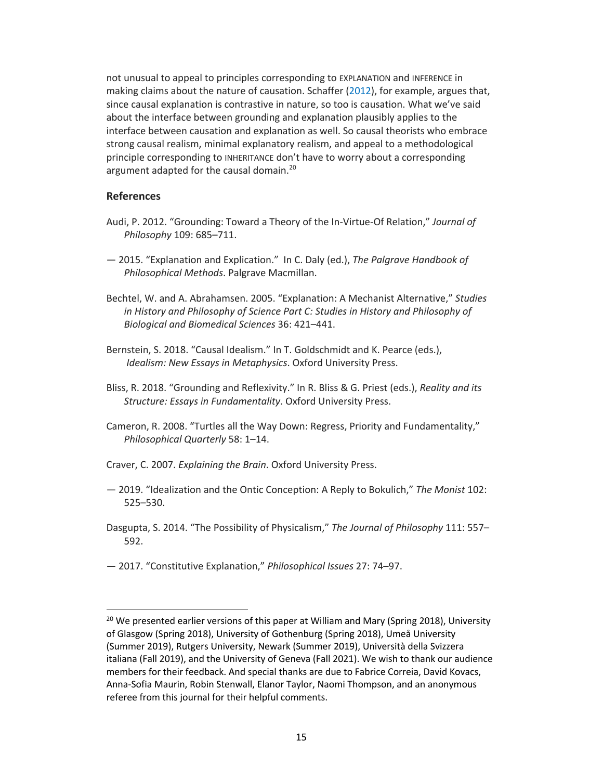not unusual to appeal to principles corresponding to EXPLANATION and INFERENCE in making claims about the nature of causation. Schaffer (2012), for example, argues that, since causal explanation is contrastive in nature, so too is causation. What we've said about the interface between grounding and explanation plausibly applies to the interface between causation and explanation as well. So causal theorists who embrace strong causal realism, minimal explanatory realism, and appeal to a methodological principle corresponding to INHERITANCE don't have to worry about a corresponding argument adapted for the causal domain.<sup>20</sup>

# **References**

- Audi, P. 2012. "Grounding: Toward a Theory of the In-Virtue-Of Relation," *Journal of Philosophy* 109: 685–711.
- 2015. "Explanation and Explication." In C. Daly (ed.), *The Palgrave Handbook of Philosophical Methods*. Palgrave Macmillan.
- Bechtel, W. and A. Abrahamsen. 2005. "Explanation: A Mechanist Alternative," *Studies in History and Philosophy of Science Part C: Studies in History and Philosophy of Biological and Biomedical Sciences* 36: 421–441.
- Bernstein, S. 2018. "Causal Idealism." In T. Goldschmidt and K. Pearce (eds.), *Idealism: New Essays in Metaphysics*. Oxford University Press.
- Bliss, R. 2018. "Grounding and Reflexivity." In R. Bliss & G. Priest (eds.), *Reality and its Structure: Essays in Fundamentality*. Oxford University Press.
- Cameron, R. 2008. "Turtles all the Way Down: Regress, Priority and Fundamentality," *Philosophical Quarterly* 58: 1–14.
- Craver, C. 2007. *Explaining the Brain*. Oxford University Press.
- 2019. "Idealization and the Ontic Conception: A Reply to Bokulich," *The Monist* 102: 525–530.
- Dasgupta, S. 2014. "The Possibility of Physicalism," *The Journal of Philosophy* 111: 557– 592.
- 2017. "Constitutive Explanation," *Philosophical Issues* 27: 74–97.

 $20$  We presented earlier versions of this paper at William and Mary (Spring 2018), University of Glasgow (Spring 2018), University of Gothenburg (Spring 2018), Umeå University (Summer 2019), Rutgers University, Newark (Summer 2019), Università della Svizzera italiana (Fall 2019), and the University of Geneva (Fall 2021). We wish to thank our audience members for their feedback. And special thanks are due to Fabrice Correia, David Kovacs, Anna-Sofia Maurin, Robin Stenwall, Elanor Taylor, Naomi Thompson, and an anonymous referee from this journal for their helpful comments.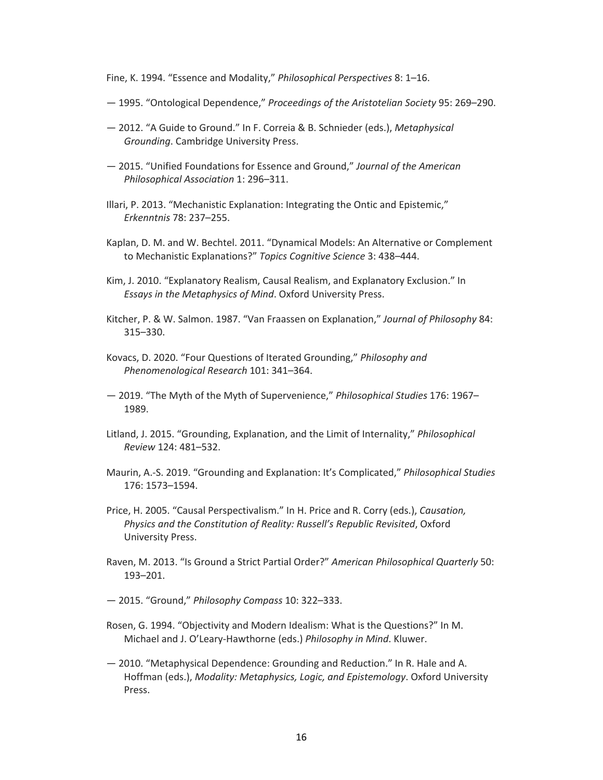Fine, K. 1994. "Essence and Modality," *Philosophical Perspectives* 8: 1–16.

- 1995. "Ontological Dependence," *Proceedings of the Aristotelian Society* 95: 269–290.
- 2012. "A Guide to Ground." In F. Correia & B. Schnieder (eds.), *Metaphysical Grounding*. Cambridge University Press.
- 2015. "Unified Foundations for Essence and Ground," *Journal of the American Philosophical Association* 1: 296–311.
- Illari, P. 2013. "Mechanistic Explanation: Integrating the Ontic and Epistemic," *Erkenntnis* 78: 237–255.
- Kaplan, D. M. and W. Bechtel. 2011. "Dynamical Models: An Alternative or Complement to Mechanistic Explanations?" *Topics Cognitive Science* 3: 438–444.
- Kim, J. 2010. "Explanatory Realism, Causal Realism, and Explanatory Exclusion." In *Essays in the Metaphysics of Mind*. Oxford University Press.
- Kitcher, P. & W. Salmon. 1987. "Van Fraassen on Explanation," *Journal of Philosophy* 84: 315–330.
- Kovacs, D. 2020. "Four Questions of Iterated Grounding," *Philosophy and Phenomenological Research* 101: 341–364.
- 2019. "The Myth of the Myth of Supervenience," *Philosophical Studies* 176: 1967– 1989.
- Litland, J. 2015. "Grounding, Explanation, and the Limit of Internality," *Philosophical Review* 124: 481–532.
- Maurin, A.-S. 2019. "Grounding and Explanation: It's Complicated," *Philosophical Studies*  176: 1573–1594.
- Price, H. 2005. "Causal Perspectivalism." In H. Price and R. Corry (eds.), *Causation, Physics and the Constitution of Reality: Russell's Republic Revisited*, Oxford University Press.
- Raven, M. 2013. "Is Ground a Strict Partial Order?" *American Philosophical Quarterly* 50: 193–201.
- 2015. "Ground," *Philosophy Compass* 10: 322–333.
- Rosen, G. 1994. "Objectivity and Modern Idealism: What is the Questions?" In M. Michael and J. O'Leary-Hawthorne (eds.) *Philosophy in Mind*. Kluwer.
- 2010. "Metaphysical Dependence: Grounding and Reduction." In R. Hale and A. Hoffman (eds.), *Modality: Metaphysics, Logic, and Epistemology*. Oxford University Press.